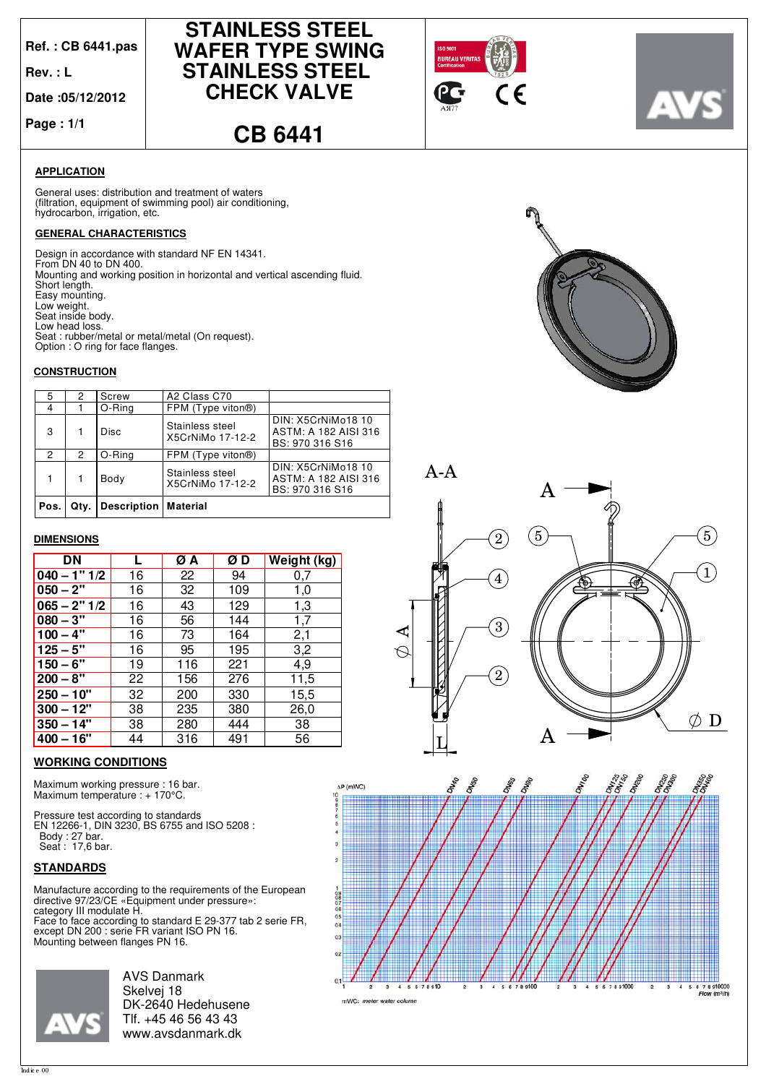**Ref. : CB 6441.pas**

**Rev. : L**

**Date :05/12/2012**

**Page : 1/1**







**CB 6441**

## **APPLICATION**

(filtration, equipment of swimming pool) air conditioning, hydrocarbon, irrigation, etc. General uses: distribution and treatment of waters

## **GENERAL CHARACTERISTICS**

Design in accordance with standard NF EN 14341. From DN 40 to DN 400. Option : O ring for face flanges. Low head loss.<br>Seat : rubber/metal or metal/metal (On request). Seat inside body. Low weight. Easy mounting. Short length. Mounting and working position in horizontal and vertical ascending fluid.

#### **CONSTRUCTION**

| 5    | 2    | Screw       | A2 Class C70                        |                                                               |
|------|------|-------------|-------------------------------------|---------------------------------------------------------------|
| 4    |      | O-Ring      | FPM (Type viton <sup>®)</sup>       |                                                               |
| 3    |      | Disc        | Stainless steel<br>X5CrNiMo 17-12-2 | DIN: X5CrNiMo18 10<br>ASTM: A 182 AISI 316<br>BS: 970 316 S16 |
| 2    | 2    | O-Ring      | FPM (Type viton®)                   |                                                               |
|      |      | Body        | Stainless steel<br>X5CrNiMo 17-12-2 | DIN: X5CrNiMo18 10<br>ASTM: A 182 AISI 316<br>BS: 970 316 S16 |
| Pos. | Qtv. | Description | Material                            |                                                               |

#### **DIMENSIONS**

| DN             |    | ØΑ  | ØD  | Weight (kg) |
|----------------|----|-----|-----|-------------|
| $040 - 1" 1/2$ | 16 | 22  | 94  | 0,7         |
| $050 - 2"$     | 16 | 32  | 109 | 1,0         |
| $065 - 2" 1/2$ | 16 | 43  | 129 | 1,3         |
| $080 - 3"$     | 16 | 56  | 144 | 1,7         |
| $100 - 4"$     | 16 | 73  | 164 | 2,1         |
| $125 - 5"$     | 16 | 95  | 195 | 3,2         |
| $150 - 6"$     | 19 | 116 | 221 | 4,9         |
| $200 - 8"$     | 22 | 156 | 276 | 11,5        |
| $250 - 10"$    | 32 | 200 | 330 | 15,5        |
| $300 - 12"$    | 38 | 235 | 380 | 26,0        |
| $350 - 14"$    | 38 | 280 | 444 | 38          |
| $400 - 16"$    | 44 | 316 | 491 | 56          |

## **WORKING CONDITIONS**

Maximum working pressure : 16 bar. Maximum temperature : + 170°C.

Pressure test according to standards EN 12266-1, DIN 3230, BS 6755 and ISO 5208 : Body : 27 bar. Seat : 17,6 bar.

## **STANDARDS**

Manufacture according to the requirements of the European directive 97/23/CE «Equipment under pressure»: category III modulate H.

Face to face according to standard E 29-377 tab 2 serie FR, except DN 200 : serie FR variant ISO PN 16. Mounting between flanges PN 16.



AVS Danmark Skelvej 18 DK-2640 Hedehusene Tlf. +45 46 56 43 43 www.avsdanmark.dk